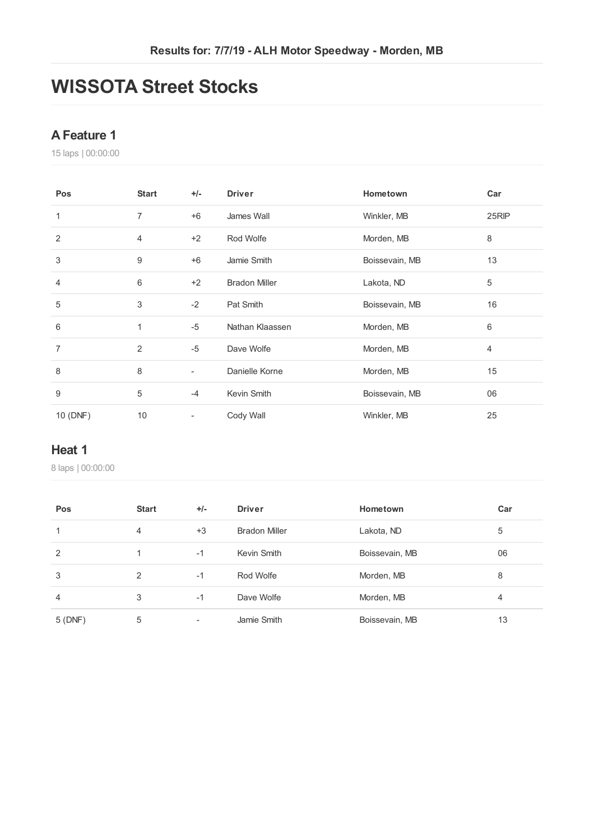# **WISSOTA Street Stocks**

## **AFeature 1**

laps | 00:00:00

| Pos            | <b>Start</b> | $+/-$                    | <b>Driver</b>        | Hometown       | Car   |
|----------------|--------------|--------------------------|----------------------|----------------|-------|
| 1              | 7            | $+6$                     | James Wall           | Winkler, MB    | 25RIP |
| 2              | 4            | $+2$                     | Rod Wolfe            | Morden, MB     | 8     |
| 3              | 9            | $+6$                     | Jamie Smith          | Boissevain, MB | 13    |
| $\overline{4}$ | 6            | $+2$                     | <b>Bradon Miller</b> | Lakota, ND     | 5     |
| 5              | 3            | $-2$                     | Pat Smith            | Boissevain, MB | 16    |
| 6              | $\mathbf{1}$ | $-5$                     | Nathan Klaassen      | Morden, MB     | 6     |
| 7              | 2            | $-5$                     | Dave Wolfe           | Morden, MB     | 4     |
| 8              | 8            | $\overline{\phantom{0}}$ | Danielle Korne       | Morden, MB     | 15    |
| 9              | 5            | $-4$                     | Kevin Smith          | Boissevain, MB | 06    |
| 10 (DNF)       | $10$         | ۰                        | Cody Wall            | Winkler, MB    | 25    |

### **Heat 1**

| Pos            | <b>Start</b> | $+/-$                    | <b>Driver</b>        | Hometown       | Car |
|----------------|--------------|--------------------------|----------------------|----------------|-----|
|                | 4            | $+3$                     | <b>Bradon Miller</b> | Lakota, ND     | 5   |
| 2              |              | $-1$                     | Kevin Smith          | Boissevain, MB | 06  |
| 3              | 2            | $-1$                     | Rod Wolfe            | Morden, MB     | 8   |
| $\overline{4}$ | 3            | $-1$                     | Dave Wolfe           | Morden, MB     | 4   |
| 5 (DNF)        | 5            | $\overline{\phantom{a}}$ | Jamie Smith          | Boissevain, MB | 13  |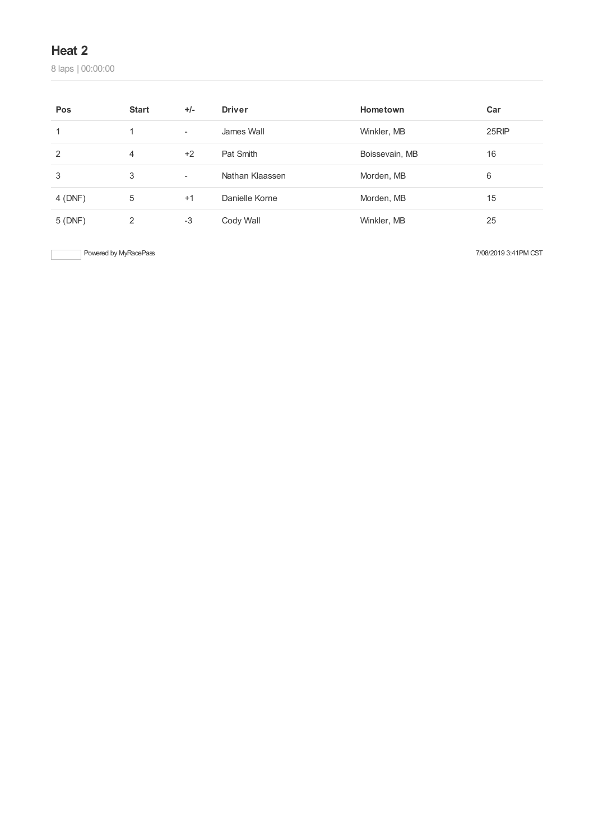laps | 00:00:00

| Pos     | <b>Start</b> | $+/-$                    | <b>Driver</b>   | Hometown       | Car   |
|---------|--------------|--------------------------|-----------------|----------------|-------|
|         |              | $\overline{\phantom{a}}$ | James Wall      | Winkler, MB    | 25RIP |
| 2       | 4            | $+2$                     | Pat Smith       | Boissevain, MB | 16    |
| 3       | 3            | $\overline{\phantom{a}}$ | Nathan Klaassen | Morden, MB     | 6     |
| 4 (DNF) | 5            | $+1$                     | Danielle Korne  | Morden, MB     | 15    |
| 5(DNF)  | 2            | -3                       | Cody Wall       | Winkler, MB    | 25    |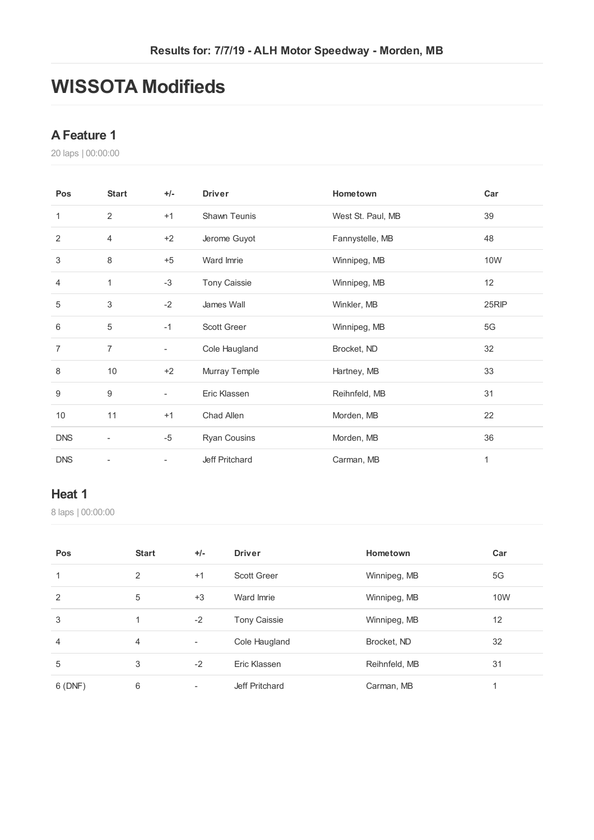# **WISSOTA Modifieds**

### **AFeature 1**

laps | 00:00:00

| Pos            | <b>Start</b>             | $+/-$                    | <b>Driver</b>       | Hometown          | Car           |
|----------------|--------------------------|--------------------------|---------------------|-------------------|---------------|
| 1              | $\overline{2}$           | $+1$                     | Shawn Teunis        | West St. Paul, MB | 39            |
| 2              | $\overline{4}$           | $+2$                     | Jerome Guyot        | Fannystelle, MB   | 48            |
| 3              | 8                        | $+5$                     | Ward Imrie          | Winnipeg, MB      | 10W           |
| $\overline{4}$ | 1                        | $-3$                     | <b>Tony Caissie</b> | Winnipeg, MB      | 12            |
| 5              | 3                        | $-2$                     | James Wall          | Winkler, MB       | 25RIP         |
| 6              | 5                        | $-1$                     | Scott Greer         | Winnipeg, MB      | $5\mathsf{G}$ |
| $\overline{7}$ | $\overline{7}$           | $\overline{\phantom{a}}$ | Cole Haugland       | Brocket, ND       | 32            |
| 8              | 10                       | $+2$                     | Murray Temple       | Hartney, MB       | 33            |
| 9              | 9                        | $\overline{\phantom{a}}$ | Eric Klassen        | Reihnfeld, MB     | 31            |
| 10             | 11                       | $+1$                     | Chad Allen          | Morden, MB        | 22            |
| <b>DNS</b>     | $\overline{\phantom{a}}$ | $-5$                     | <b>Ryan Cousins</b> | Morden, MB        | 36            |
| <b>DNS</b>     |                          | ٠                        | Jeff Pritchard      | Carman, MB        | 1             |

#### **Heat 1**

| Pos            | <b>Start</b>   | $+/-$                    | <b>Driver</b>       | Hometown      | Car |
|----------------|----------------|--------------------------|---------------------|---------------|-----|
| 1              | 2              | $+1$                     | <b>Scott Greer</b>  | Winnipeg, MB  | 5G  |
| 2              | 5              | $+3$                     | Ward Imrie          | Winnipeg, MB  | 10W |
| 3              | 1              | $-2$                     | <b>Tony Caissie</b> | Winnipeg, MB  | 12  |
| $\overline{4}$ | $\overline{4}$ | $\overline{\phantom{a}}$ | Cole Haugland       | Brocket, ND   | 32  |
| 5              | 3              | $-2$                     | Eric Klassen        | Reihnfeld, MB | 31  |
| 6(DNF)         | 6              | -                        | Jeff Pritchard      | Carman, MB    |     |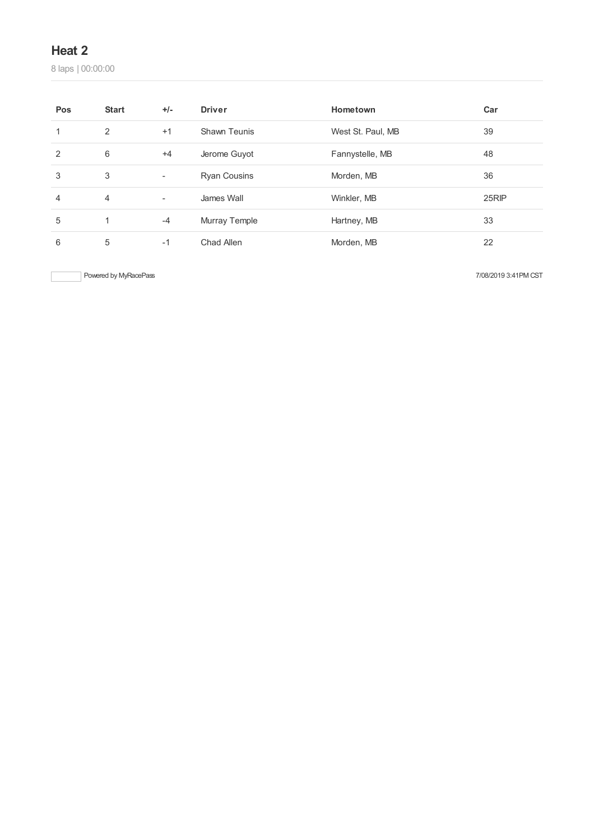laps | 00:00:00

| Pos | <b>Start</b> | $+/-$                    | <b>Driver</b>       | Hometown          | Car   |
|-----|--------------|--------------------------|---------------------|-------------------|-------|
|     | 2            | $+1$                     | Shawn Teunis        | West St. Paul, MB | 39    |
| 2   | 6            | $+4$                     | Jerome Guyot        | Fannystelle, MB   | 48    |
| 3   | 3            | ۰                        | <b>Ryan Cousins</b> | Morden, MB        | 36    |
| 4   | 4            | $\overline{\phantom{a}}$ | James Wall          | Winkler, MB       | 25RIP |
| 5   |              | $-4$                     | Murray Temple       | Hartney, MB       | 33    |
| 6   | 5            | $-1$                     | Chad Allen          | Morden, MB        | 22    |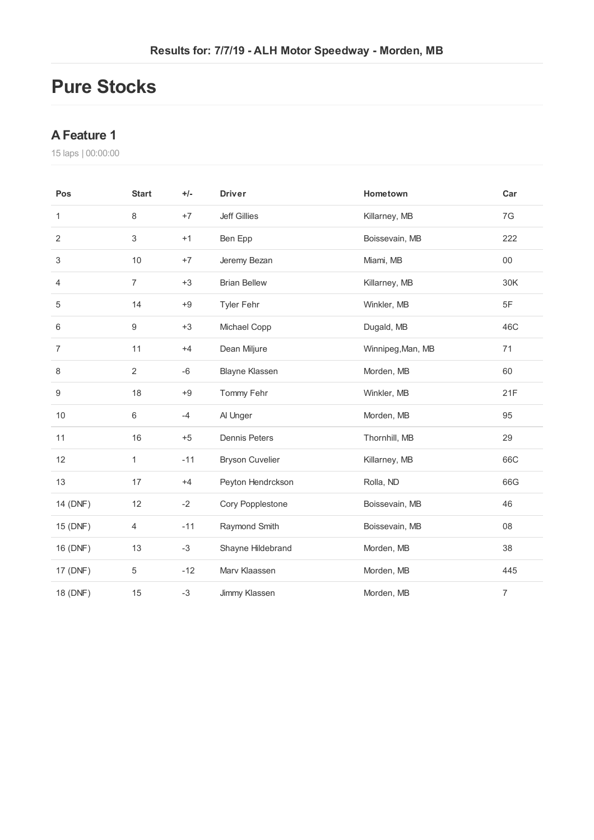# **Pure Stocks**

## **AFeature 1**

| Pos            | <b>Start</b>   | $+/-$ | <b>Driver</b>          | Hometown          | Car            |
|----------------|----------------|-------|------------------------|-------------------|----------------|
| 1              | $\,8\,$        | $+7$  | <b>Jeff Gillies</b>    | Killarney, MB     | 7G             |
| $\overline{2}$ | 3              | $+1$  | Ben Epp                | Boissevain, MB    | 222            |
| 3              | 10             | $+7$  | Jeremy Bezan           | Miami, MB         | $00\,$         |
| 4              | $\overline{7}$ | $+3$  | <b>Brian Bellew</b>    | Killarney, MB     | 30K            |
| 5              | 14             | $+9$  | Tyler Fehr             | Winkler, MB       | 5F             |
| 6              | 9              | $+3$  | Michael Copp           | Dugald, MB        | 46C            |
| $\overline{7}$ | 11             | $+4$  | Dean Miljure           | Winnipeg, Man, MB | 71             |
| 8              | $\sqrt{2}$     | $-6$  | <b>Blayne Klassen</b>  | Morden, MB        | 60             |
| 9              | 18             | $+9$  | Tommy Fehr             | Winkler, MB       | 21F            |
| 10             | 6              | $-4$  | Al Unger               | Morden, MB        | 95             |
| 11             | 16             | $+5$  | <b>Dennis Peters</b>   | Thornhill, MB     | 29             |
| 12             | 1              | $-11$ | <b>Bryson Cuvelier</b> | Killarney, MB     | 66C            |
| 13             | 17             | $+4$  | Peyton Hendrckson      | Rolla, ND         | 66G            |
| 14 (DNF)       | 12             | $-2$  | Cory Popplestone       | Boissevain, MB    | 46             |
| 15 (DNF)       | 4              | $-11$ | Raymond Smith          | Boissevain, MB    | 08             |
| 16 (DNF)       | 13             | $-3$  | Shayne Hildebrand      | Morden, MB        | 38             |
| 17 (DNF)       | $\,$ 5 $\,$    | $-12$ | Marv Klaassen          | Morden, MB        | 445            |
| 18 (DNF)       | 15             | $-3$  | Jimmy Klassen          | Morden, MB        | $\overline{7}$ |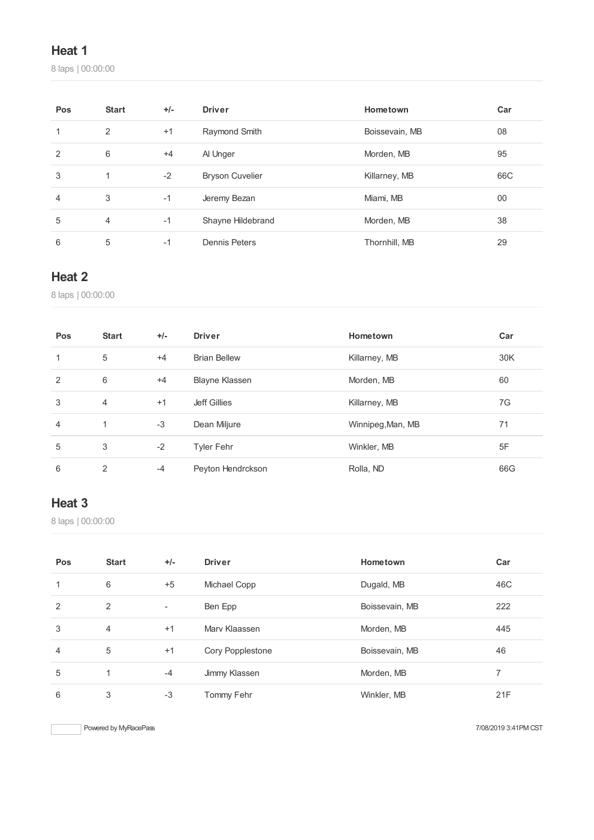laps | 00:00:00

| Pos            | <b>Start</b>   | $+/-$ | <b>Driver</b>          | Hometown       | Car |
|----------------|----------------|-------|------------------------|----------------|-----|
| 1              | 2              | $+1$  | Raymond Smith          | Boissevain, MB | 08  |
| $\overline{2}$ | 6              | $+4$  | Al Unger               | Morden, MB     | 95  |
| 3              | 1              | $-2$  | <b>Bryson Cuvelier</b> | Killarney, MB  | 66C |
| $\overline{4}$ | 3              | $-1$  | Jeremy Bezan           | Miami, MB      | 00  |
| 5              | $\overline{4}$ | $-1$  | Shayne Hildebrand      | Morden, MB     | 38  |
| 6              | 5              | $-1$  | <b>Dennis Peters</b>   | Thornhill, MB  | 29  |

## **Heat 2**

laps | 00:00:00

| Pos            | <b>Start</b>   | $+/-$ | <b>Driver</b>         | Hometown          | Car |
|----------------|----------------|-------|-----------------------|-------------------|-----|
| 1              | 5              | $+4$  | <b>Brian Bellew</b>   | Killarney, MB     | 30K |
| 2              | 6              | $+4$  | <b>Blayne Klassen</b> | Morden, MB        | 60  |
| 3              | $\overline{4}$ | $+1$  | <b>Jeff Gillies</b>   | Killarney, MB     | 7G  |
| $\overline{4}$ | $\mathbf{1}$   | $-3$  | Dean Miljure          | Winnipeg, Man, MB | 71  |
| 5              | 3              | $-2$  | <b>Tyler Fehr</b>     | Winkler, MB       | 5F  |
| 6              | 2              | $-4$  | Peyton Hendrckson     | Rolla, ND         | 66G |

# **Heat 3**

laps | 00:00:00

| Pos | <b>Start</b>   | $+/-$                    | <b>Driver</b>    | Hometown       | Car |
|-----|----------------|--------------------------|------------------|----------------|-----|
| 1   | 6              | $+5$                     | Michael Copp     | Dugald, MB     | 46C |
| 2   | 2              | $\overline{\phantom{a}}$ | Ben Epp          | Boissevain, MB | 222 |
| 3   | $\overline{4}$ | $+1$                     | Mary Klaassen    | Morden, MB     | 445 |
| 4   | 5              | $+1$                     | Cory Popplestone | Boissevain, MB | 46  |
| 5   | 1              | $-4$                     | Jimmy Klassen    | Morden, MB     |     |
| 6   | 3              | $-3$                     | Tommy Fehr       | Winkler, MB    | 21F |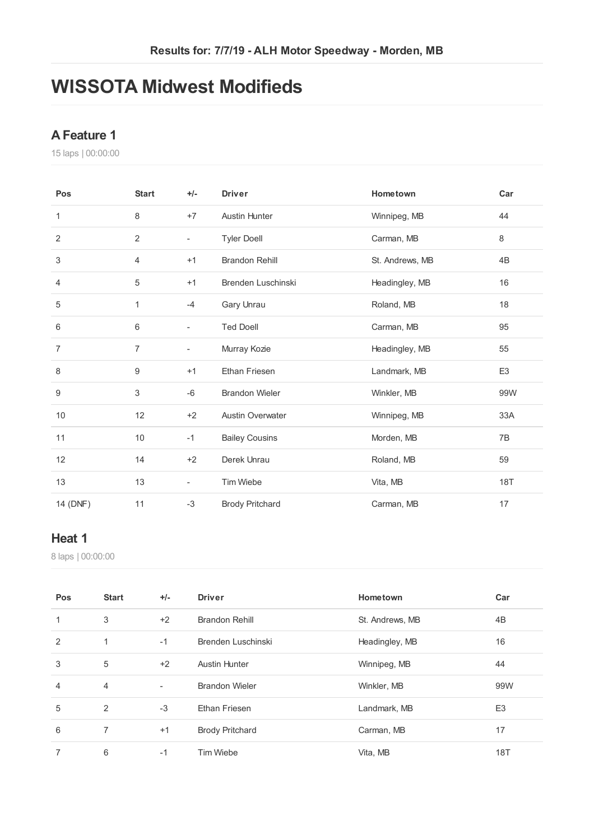# **WISSOTA Midwest Modifieds**

## **AFeature 1**

laps | 00:00:00

| Pos            | <b>Start</b>   | $+/-$                    | <b>Driver</b>           | Hometown        | Car            |
|----------------|----------------|--------------------------|-------------------------|-----------------|----------------|
| 1              | 8              | $+7$                     | <b>Austin Hunter</b>    | Winnipeg, MB    | 44             |
| 2              | 2              | $\overline{\phantom{a}}$ | <b>Tyler Doell</b>      | Carman, MB      | 8              |
| 3              | 4              | $+1$                     | <b>Brandon Rehill</b>   | St. Andrews, MB | 4B             |
| 4              | 5              | $+1$                     | Brenden Luschinski      | Headingley, MB  | 16             |
| 5              | 1              | $-4$                     | Gary Unrau              | Roland, MB      | 18             |
| 6              | 6              | $\frac{1}{2}$            | <b>Ted Doell</b>        | Carman, MB      | 95             |
| $\overline{7}$ | $\overline{7}$ | ۰.                       | Murray Kozie            | Headingley, MB  | 55             |
| 8              | 9              | $+1$                     | <b>Ethan Friesen</b>    | Landmark, MB    | E <sub>3</sub> |
| 9              | 3              | -6                       | <b>Brandon Wieler</b>   | Winkler, MB     | 99W            |
| 10             | 12             | $+2$                     | <b>Austin Overwater</b> | Winnipeg, MB    | 33A            |
| 11             | 10             | $-1$                     | <b>Bailey Cousins</b>   | Morden, MB      | 7B             |
| 12             | 14             | $+2$                     | Derek Unrau             | Roland, MB      | 59             |
| 13             | 13             | $\blacksquare$           | <b>Tim Wiebe</b>        | Vita, MB        | <b>18T</b>     |
| 14 (DNF)       | 11             | $-3$                     | <b>Brody Pritchard</b>  | Carman, MB      | 17             |

### **Heat 1**

| Pos | <b>Start</b>   | $+/-$                    | <b>Driver</b>          | Hometown        | Car            |
|-----|----------------|--------------------------|------------------------|-----------------|----------------|
| 1   | 3              | $+2$                     | <b>Brandon Rehill</b>  | St. Andrews, MB | 4B             |
| 2   | 1              | $-1$                     | Brenden Luschinski     | Headingley, MB  | 16             |
| 3   | 5              | $+2$                     | <b>Austin Hunter</b>   | Winnipeg, MB    | 44             |
| 4   | $\overline{4}$ | $\overline{\phantom{a}}$ | <b>Brandon Wieler</b>  | Winkler, MB     | 99W            |
| 5   | 2              | $-3$                     | <b>Ethan Friesen</b>   | Landmark, MB    | E <sub>3</sub> |
| 6   | 7              | $+1$                     | <b>Brody Pritchard</b> | Carman, MB      | 17             |
|     | 6              | $-1$                     | <b>Tim Wiebe</b>       | Vita, MB        | 18T            |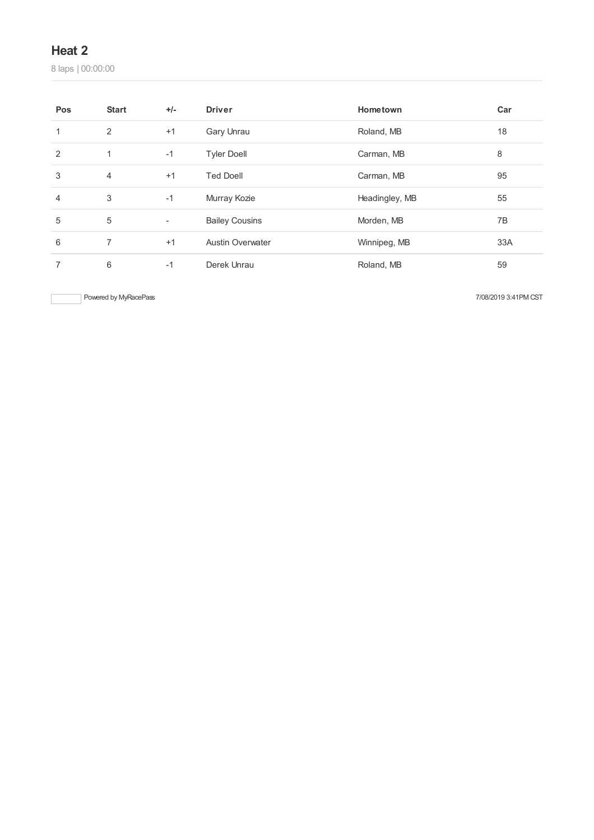laps | 00:00:00

| Pos | <b>Start</b>   | $+/-$                    | <b>Driver</b>           | Hometown       | Car |
|-----|----------------|--------------------------|-------------------------|----------------|-----|
| 1   | 2              | $+1$                     | Gary Unrau              | Roland, MB     | 18  |
| 2   | $\mathbf{1}$   | $-1$                     | <b>Tyler Doell</b>      | Carman, MB     | 8   |
| 3   | $\overline{4}$ | $+1$                     | <b>Ted Doell</b>        | Carman, MB     | 95  |
| 4   | 3              | $-1$                     | Murray Kozie            | Headingley, MB | 55  |
| 5   | 5              | $\overline{\phantom{a}}$ | <b>Bailey Cousins</b>   | Morden, MB     | 7B  |
| 6   | 7              | $+1$                     | <b>Austin Overwater</b> | Winnipeg, MB   | 33A |
|     | 6              | $-1$                     | Derek Unrau             | Roland, MB     | 59  |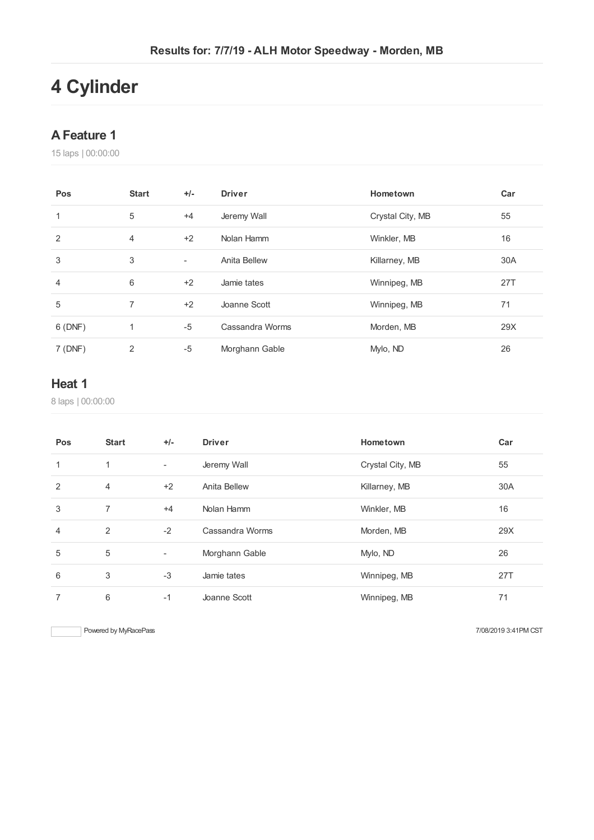# **Cylinder**

### **AFeature 1**

laps | 00:00:00

| Pos    | <b>Start</b> | $+/-$  | <b>Driver</b>   | Hometown         | Car |
|--------|--------------|--------|-----------------|------------------|-----|
| 1      | 5            | $+4$   | Jeremy Wall     | Crystal City, MB | 55  |
| 2      | 4            | $+2$   | Nolan Hamm      | Winkler, MB      | 16  |
| 3      | 3            | $\sim$ | Anita Bellew    | Killarney, MB    | 30A |
| 4      | 6            | $+2$   | Jamie tates     | Winnipeg, MB     | 27T |
| 5      | 7            | $+2$   | Joanne Scott    | Winnipeg, MB     | 71  |
| 6(DNF) | 1            | $-5$   | Cassandra Worms | Morden, MB       | 29X |
| 7(DNF) | 2            | $-5$   | Morghann Gable  | Mylo, ND         | 26  |

## **Heat 1**

laps | 00:00:00

| Pos            | <b>Start</b>   | $+/-$                    | <b>Driver</b>       | Hometown         | Car        |
|----------------|----------------|--------------------------|---------------------|------------------|------------|
| 1              | 1              | $\overline{\phantom{a}}$ | Jeremy Wall         | Crystal City, MB | 55         |
| 2              | 4              | $+2$                     | <b>Anita Bellew</b> | Killarney, MB    | 30A        |
| 3              | $\overline{7}$ | $+4$                     | Nolan Hamm          | Winkler, MB      | 16         |
| $\overline{4}$ | 2              | $-2$                     | Cassandra Worms     | Morden, MB       | 29X        |
| 5              | 5              | $\overline{\phantom{a}}$ | Morghann Gable      | Mylo, ND         | 26         |
| 6              | 3              | $-3$                     | Jamie tates         | Winnipeg, MB     | <b>27T</b> |
| 7              | 6              | $-1$                     | Joanne Scott        | Winnipeg, MB     | 71         |